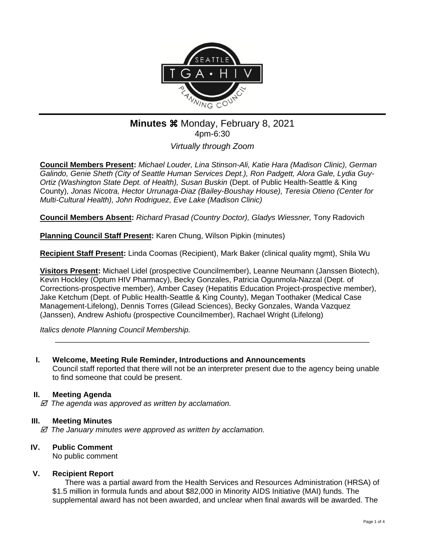

# **Minutes**  $%$  **Monday, February 8, 2021** 4pm-6:30

*Virtually through Zoom*

**Council Members Present:** *Michael Louder, Lina Stinson-Ali, Katie Hara (Madison Clinic), German Galindo, Genie Sheth (City of Seattle Human Services Dept.), Ron Padgett, Alora Gale, Lydia Guy-Ortiz (Washington State Dept. of Health), Susan Buskin* (Dept. of Public Health-Seattle & King County), *Jonas Nicotra, Hector Urrunaga-Diaz (Bailey-Boushay House), Teresia Otieno (Center for Multi-Cultural Health), John Rodriguez, Eve Lake (Madison Clinic)*

**Council Members Absent:** *Richard Prasad (Country Doctor), Gladys Wiessner,* Tony Radovich

**Planning Council Staff Present:** Karen Chung, Wilson Pipkin (minutes)

**Recipient Staff Present:** Linda Coomas (Recipient), Mark Baker (clinical quality mgmt), Shila Wu

**Visitors Present:** Michael Lidel (prospective Councilmember), Leanne Neumann (Janssen Biotech), Kevin Hockley (Optum HIV Pharmacy), Becky Gonzales, Patricia Ogunmola-Nazzal (Dept. of Corrections-prospective member), Amber Casey (Hepatitis Education Project-prospective member), Jake Ketchum (Dept. of Public Health-Seattle & King County), Megan Toothaker (Medical Case Management-Lifelong), Dennis Torres (Gilead Sciences), Becky Gonzales, Wanda Vazquez (Janssen), Andrew Ashiofu (prospective Councilmember), Rachael Wright (Lifelong)

*Italics denote Planning Council Membership.* 

# **I. Welcome, Meeting Rule Reminder, Introductions and Announcements**

Council staff reported that there will not be an interpreter present due to the agency being unable to find someone that could be present.

\_\_\_\_\_\_\_\_\_\_\_\_\_\_\_\_\_\_\_\_\_\_\_\_\_\_\_\_\_\_\_\_\_\_\_\_\_\_\_\_\_\_\_\_\_\_\_\_\_\_\_\_\_\_\_\_\_\_\_\_\_\_\_\_\_\_\_\_\_\_\_\_\_\_

## **II. Meeting Agenda**

 *The agenda was approved as written by acclamation.*

## **III. Meeting Minutes**

 *The January minutes were approved as written by acclamation.*

## **IV. Public Comment**

No public comment

## **V. Recipient Report**

There was a partial award from the Health Services and Resources Administration (HRSA) of \$1.5 million in formula funds and about \$82,000 in Minority AIDS Initiative (MAI) funds. The supplemental award has not been awarded, and unclear when final awards will be awarded. The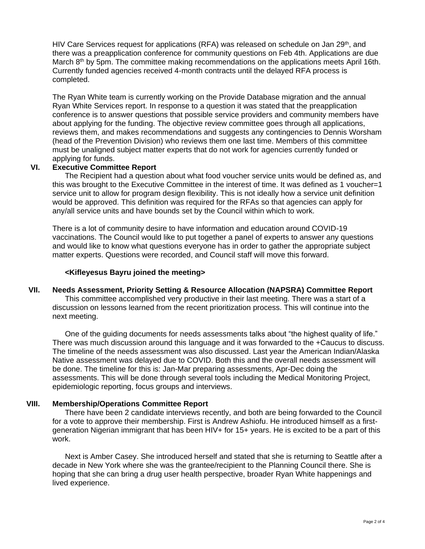HIV Care Services request for applications (RFA) was released on schedule on Jan 29<sup>th</sup>, and there was a preapplication conference for community questions on Feb 4th. Applications are due March 8th by 5pm. The committee making recommendations on the applications meets April 16th. Currently funded agencies received 4-month contracts until the delayed RFA process is completed.

The Ryan White team is currently working on the Provide Database migration and the annual Ryan White Services report. In response to a question it was stated that the preapplication conference is to answer questions that possible service providers and community members have about applying for the funding. The objective review committee goes through all applications, reviews them, and makes recommendations and suggests any contingencies to Dennis Worsham (head of the Prevention Division) who reviews them one last time. Members of this committee must be unaligned subject matter experts that do not work for agencies currently funded or applying for funds.

#### **VI. Executive Committee Report**

The Recipient had a question about what food voucher service units would be defined as, and this was brought to the Executive Committee in the interest of time. It was defined as 1 voucher=1 service unit to allow for program design flexibility. This is not ideally how a service unit definition would be approved. This definition was required for the RFAs so that agencies can apply for any/all service units and have bounds set by the Council within which to work.

There is a lot of community desire to have information and education around COVID-19 vaccinations. The Council would like to put together a panel of experts to answer any questions and would like to know what questions everyone has in order to gather the appropriate subject matter experts. Questions were recorded, and Council staff will move this forward.

#### **<Kifleyesus Bayru joined the meeting>**

## **VII. Needs Assessment, Priority Setting & Resource Allocation (NAPSRA) Committee Report**

This committee accomplished very productive in their last meeting. There was a start of a discussion on lessons learned from the recent prioritization process. This will continue into the next meeting.

One of the guiding documents for needs assessments talks about "the highest quality of life." There was much discussion around this language and it was forwarded to the +Caucus to discuss. The timeline of the needs assessment was also discussed. Last year the American Indian/Alaska Native assessment was delayed due to COVID. Both this and the overall needs assessment will be done. The timeline for this is: Jan-Mar preparing assessments, Apr-Dec doing the assessments. This will be done through several tools including the Medical Monitoring Project, epidemiologic reporting, focus groups and interviews.

#### **VIII. Membership/Operations Committee Report**

There have been 2 candidate interviews recently, and both are being forwarded to the Council for a vote to approve their membership. First is Andrew Ashiofu. He introduced himself as a firstgeneration Nigerian immigrant that has been HIV+ for 15+ years. He is excited to be a part of this work.

Next is Amber Casey. She introduced herself and stated that she is returning to Seattle after a decade in New York where she was the grantee/recipient to the Planning Council there. She is hoping that she can bring a drug user health perspective, broader Ryan White happenings and lived experience.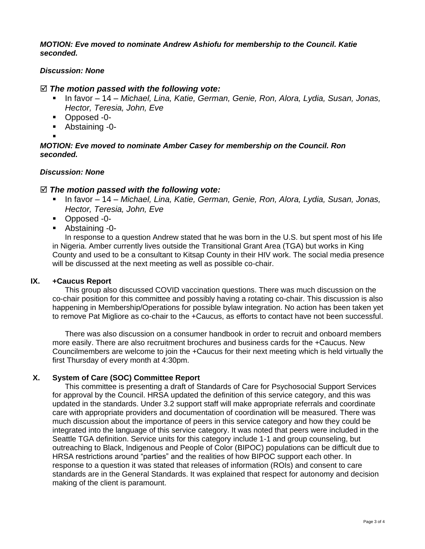*MOTION: Eve moved to nominate Andrew Ashiofu for membership to the Council. Katie seconded.*

#### *Discussion: None*

#### *The motion passed with the following vote:*

- In favor 14 *Michael, Lina, Katie, German, Genie, Ron, Alora, Lydia, Susan, Jonas, Hector, Teresia, John, Eve*
- Opposed -0-
- Abstaining -0-
- ▪

#### *MOTION: Eve moved to nominate Amber Casey for membership on the Council. Ron seconded.*

#### *Discussion: None*

## *The motion passed with the following vote:*

- In favor 14 *Michael, Lina, Katie, German, Genie, Ron, Alora, Lydia, Susan, Jonas, Hector, Teresia, John, Eve*
- Opposed -0-
- Abstaining -0-

In response to a question Andrew stated that he was born in the U.S. but spent most of his life in Nigeria. Amber currently lives outside the Transitional Grant Area (TGA) but works in King County and used to be a consultant to Kitsap County in their HIV work. The social media presence will be discussed at the next meeting as well as possible co-chair.

#### **IX. +Caucus Report**

This group also discussed COVID vaccination questions. There was much discussion on the co-chair position for this committee and possibly having a rotating co-chair. This discussion is also happening in Membership/Operations for possible bylaw integration. No action has been taken yet to remove Pat Migliore as co-chair to the +Caucus, as efforts to contact have not been successful.

There was also discussion on a consumer handbook in order to recruit and onboard members more easily. There are also recruitment brochures and business cards for the +Caucus. New Councilmembers are welcome to join the +Caucus for their next meeting which is held virtually the first Thursday of every month at 4:30pm.

## **X. System of Care (SOC) Committee Report**

This committee is presenting a draft of Standards of Care for Psychosocial Support Services for approval by the Council. HRSA updated the definition of this service category, and this was updated in the standards. Under 3.2 support staff will make appropriate referrals and coordinate care with appropriate providers and documentation of coordination will be measured. There was much discussion about the importance of peers in this service category and how they could be integrated into the language of this service category. It was noted that peers were included in the Seattle TGA definition. Service units for this category include 1-1 and group counseling, but outreaching to Black, Indigenous and People of Color (BIPOC) populations can be difficult due to HRSA restrictions around "parties" and the realities of how BIPOC support each other. In response to a question it was stated that releases of information (ROIs) and consent to care standards are in the General Standards. It was explained that respect for autonomy and decision making of the client is paramount.